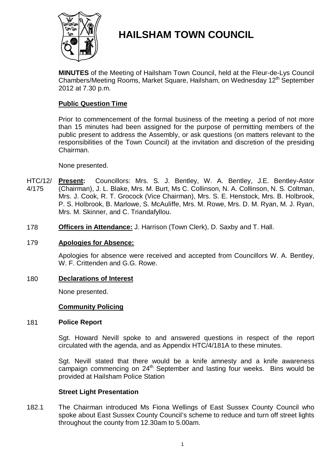

# **HAILSHAM TOWN COUNCIL**

**MINUTES** of the Meeting of Hailsham Town Council, held at the Fleur-de-Lys Council Chambers/Meeting Rooms, Market Square, Hailsham, on Wednesday 12<sup>th</sup> September 2012 at 7.30 p.m.

# **Public Question Time**

Prior to commencement of the formal business of the meeting a period of not more than 15 minutes had been assigned for the purpose of permitting members of the public present to address the Assembly, or ask questions (on matters relevant to the responsibilities of the Town Council) at the invitation and discretion of the presiding Chairman.

None presented.

- HTC/12/ 4/175 **Present:** Councillors: Mrs. S. J. Bentley, W. A. Bentley, J.E. Bentley-Astor (Chairman), J. L. Blake, Mrs. M. Burt, Ms C. Collinson, N. A. Collinson, N. S. Coltman, Mrs. J. Cook, R. T. Grocock (Vice Chairman), Mrs. S. E. Henstock, Mrs. B. Holbrook, P. S. Holbrook, B. Marlowe, S. McAuliffe, Mrs. M. Rowe, Mrs. D. M. Ryan, M. J. Ryan, Mrs. M. Skinner, and C. Triandafyllou.
- 178 **Officers in Attendance:** J. Harrison (Town Clerk), D. Saxby and T. Hall.

### 179 **Apologies for Absence:**

Apologies for absence were received and accepted from Councillors W. A. Bentley, W. F. Crittenden and G.G. Rowe.

#### 180 **Declarations of Interest**

None presented.

#### **Community Policing**

#### 181 **Police Report**

Sgt. Howard Nevill spoke to and answered questions in respect of the report circulated with the agenda, and as Appendix HTC/4/181A to these minutes.

Sgt. Nevill stated that there would be a knife amnesty and a knife awareness campaign commencing on  $24<sup>th</sup>$  September and lasting four weeks. Bins would be provided at Hailsham Police Station

#### **Street Light Presentation**

182.1 The Chairman introduced Ms Fiona Wellings of East Sussex County Council who spoke about East Sussex County Council's scheme to reduce and turn off street lights throughout the county from 12.30am to 5.00am.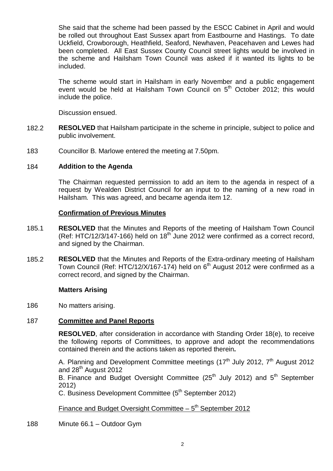She said that the scheme had been passed by the ESCC Cabinet in April and would be rolled out throughout East Sussex apart from Eastbourne and Hastings. To date Uckfield, Crowborough, Heathfield, Seaford, Newhaven, Peacehaven and Lewes had been completed. All East Sussex County Council street lights would be involved in the scheme and Hailsham Town Council was asked if it wanted its lights to be included.

The scheme would start in Hailsham in early November and a public engagement event would be held at Hailsham Town Council on 5<sup>th</sup> October 2012; this would include the police.

Discussion ensued.

- 182.2 **RESOLVED** that Hailsham participate in the scheme in principle, subject to police and public involvement.
- 183 Councillor B. Marlowe entered the meeting at 7.50pm.

### 184 **Addition to the Agenda**

The Chairman requested permission to add an item to the agenda in respect of a request by Wealden District Council for an input to the naming of a new road in Hailsham. This was agreed, and became agenda item 12.

### **Confirmation of Previous Minutes**

- 185.1 **RESOLVED** that the Minutes and Reports of the meeting of Hailsham Town Council  $(Ref: HTC/12/3/147-166)$  held on  $18<sup>th</sup>$  June 2012 were confirmed as a correct record, and signed by the Chairman.
- 185.2 **RESOLVED** that the Minutes and Reports of the Extra-ordinary meeting of Hailsham Town Council (Ref: HTC/12/X/167-174) held on  $6<sup>th</sup>$  August 2012 were confirmed as a correct record, and signed by the Chairman.

# **Matters Arising**

186 No matters arising.

# 187 **Committee and Panel Reports**

**RESOLVED**, after consideration in accordance with Standing Order 18(e), to receive the following reports of Committees, to approve and adopt the recommendations contained therein and the actions taken as reported therein**.**

A. Planning and Development Committee meetings  $(17<sup>th</sup>$  July 2012,  $7<sup>th</sup>$  August 2012 and  $28<sup>th</sup>$  August 2012

B. Finance and Budget Oversight Committee (25<sup>th</sup> July 2012) and 5<sup>th</sup> September 2012)

C. Business Development Committee (5<sup>th</sup> September 2012)

Finance and Budget Oversight Committee  $-5<sup>th</sup>$  September 2012

188 Minute 66.1 – Outdoor Gym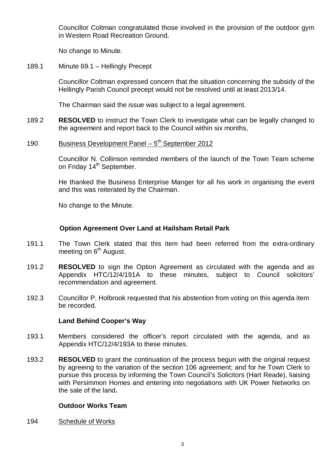Councillor Coltman congratulated those involved in the provision of the outdoor gym in Western Road Recreation Ground.

No change to Minute.

189.1 Minute 69.1 – Hellingly Precept

> Councillor Coltman expressed concern that the situation concerning the subsidy of the Hellingly Parish Council precept would not be resolved until at least 2013/14.

The Chairman said the issue was subject to a legal agreement.

- 189.2 **RESOLVED** to instruct the Town Clerk to investigate what can be legally changed to the agreement and report back to the Council within six months,
- 190 Business Development Panel  $-5<sup>th</sup>$  September 2012

Councillor N. Collinson reminded members of the launch of the Town Team scheme on Friday 14<sup>th</sup> September.

He thanked the Business Enterprise Manger for all his work in organising the event and this was reiterated by the Chairman.

No change to the Minute.

# **Option Agreement Over Land at Hailsham Retail Park**

- 191.1 The Town Clerk stated that this item had been referred from the extra-ordinary meeting on  $6<sup>th</sup>$  August.
- 191.2 **RESOLVED** to sign the Option Agreement as circulated with the agenda and as Appendix HTC/12/4/191A to these minutes, subject to Council solicitors' recommendation and agreement.
- 192.3 Councillor P. Holbrook requested that his abstention from voting on this agenda item be recorded.

# **Land Behind Cooper's Way**

- 193.1 Members considered the officer's report circulated with the agenda, and as Appendix HTC/12/4/193A to these minutes.
- 193.2 **RESOLVED** to grant the continuation of the process begun with the original request by agreeing to the variation of the section 106 agreement; and for he Town Clerk to pursue this process by informing the Town Council's Solicitors (Hart Reade), liaising with Persimmon Homes and entering into negotiations with UK Power Networks on the sale of the land**.**

# **Outdoor Works Team**

194 Schedule of Works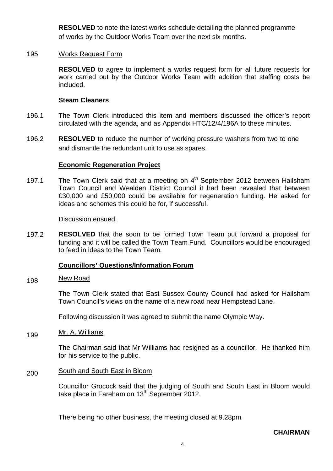**RESOLVED** to note the latest works schedule detailing the planned programme of works by the Outdoor Works Team over the next six months.

### 195 Works Request Form

**RESOLVED** to agree to implement a works request form for all future requests for work carried out by the Outdoor Works Team with addition that staffing costs be included.

### **Steam Cleaners**

- 196.1 The Town Clerk introduced this item and members discussed the officer's report circulated with the agenda, and as Appendix HTC/12/4/196A to these minutes.
- 196.2 **RESOLVED** to reduce the number of working pressure washers from two to one and dismantle the redundant unit to use as spares.

### **Economic Regeneration Project**

197.1 The Town Clerk said that at a meeting on  $4<sup>th</sup>$  September 2012 between Hailsham Town Council and Wealden District Council it had been revealed that between £30,000 and £50,000 could be available for regeneration funding. He asked for ideas and schemes this could be for, if successful.

Discussion ensued.

197.2 **RESOLVED** that the soon to be formed Town Team put forward a proposal for funding and it will be called the Town Team Fund. Councillors would be encouraged to feed in ideas to the Town Team.

#### **Councillors' Questions/Information Forum**

#### 198 New Road

The Town Clerk stated that East Sussex County Council had asked for Hailsham Town Council's views on the name of a new road near Hempstead Lane.

Following discussion it was agreed to submit the name Olympic Way.

199 Mr. A. Williams

> The Chairman said that Mr Williams had resigned as a councillor. He thanked him for his service to the public.

#### 200 South and South East in Bloom

Councillor Grocock said that the judging of South and South East in Bloom would take place in Fareham on 13<sup>th</sup> September 2012.

There being no other business, the meeting closed at 9.28pm.